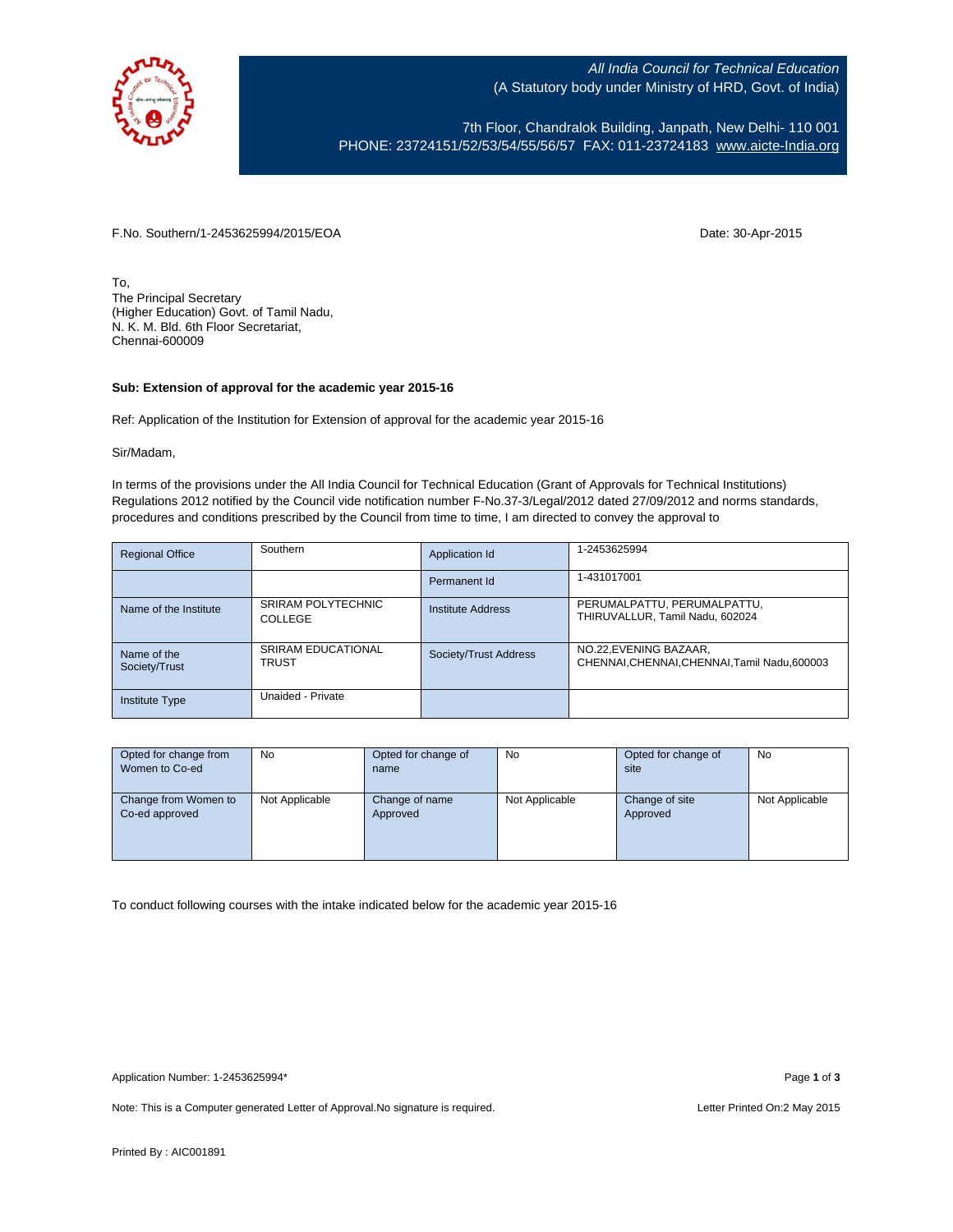

All India Council for Technical Education (A Statutory body under Ministry of HRD, Govt. of India)

7th Floor, Chandralok Building, Janpath, New Delhi- 110 001 PHONE: 23724151/52/53/54/55/56/57 FAX: 011-23724183 [www.aicte-India.org](http://www.aicte-india.org/)

F.No. Southern/1-2453625994/2015/EOA Date: 30-Apr-2015

To, The Principal Secretary (Higher Education) Govt. of Tamil Nadu, N. K. M. Bld. 6th Floor Secretariat, Chennai-600009

## **Sub: Extension of approval for the academic year 2015-16**

Ref: Application of the Institution for Extension of approval for the academic year 2015-16

## Sir/Madam,

In terms of the provisions under the All India Council for Technical Education (Grant of Approvals for Technical Institutions) Regulations 2012 notified by the Council vide notification number F-No.37-3/Legal/2012 dated 27/09/2012 and norms standards, procedures and conditions prescribed by the Council from time to time, I am directed to convey the approval to

| <b>Regional Office</b>       | Southern                                  | Application Id        | 1-2453625994                                                            |
|------------------------------|-------------------------------------------|-----------------------|-------------------------------------------------------------------------|
|                              |                                           | Permanent Id          | 1-431017001                                                             |
| Name of the Institute        | <b>SRIRAM POLYTECHNIC</b><br>COLLEGE      | Institute Address     | PERUMALPATTU, PERUMALPATTU,<br>THIRUVALLUR, Tamil Nadu, 602024          |
| Name of the<br>Society/Trust | <b>SRIRAM EDUCATIONAL</b><br><b>TRUST</b> | Society/Trust Address | NO.22, EVENING BAZAAR,<br>CHENNAI, CHENNAI, CHENNAI, Tamil Nadu, 600003 |
| <b>Institute Type</b>        | Unaided - Private                         |                       |                                                                         |

| Opted for change from | <b>No</b>      | Opted for change of | <b>No</b>      | Opted for change of | No             |
|-----------------------|----------------|---------------------|----------------|---------------------|----------------|
| Women to Co-ed        |                | name                |                | site                |                |
|                       |                |                     |                |                     |                |
| Change from Women to  | Not Applicable | Change of name      | Not Applicable | Change of site      | Not Applicable |
| Co-ed approved        |                | Approved            |                | Approved            |                |
|                       |                |                     |                |                     |                |
|                       |                |                     |                |                     |                |
|                       |                |                     |                |                     |                |

To conduct following courses with the intake indicated below for the academic year 2015-16

Note: This is a Computer generated Letter of Approval. No signature is required. <br>
Note: This is a Computer generated Letter of Approval. No signature is required.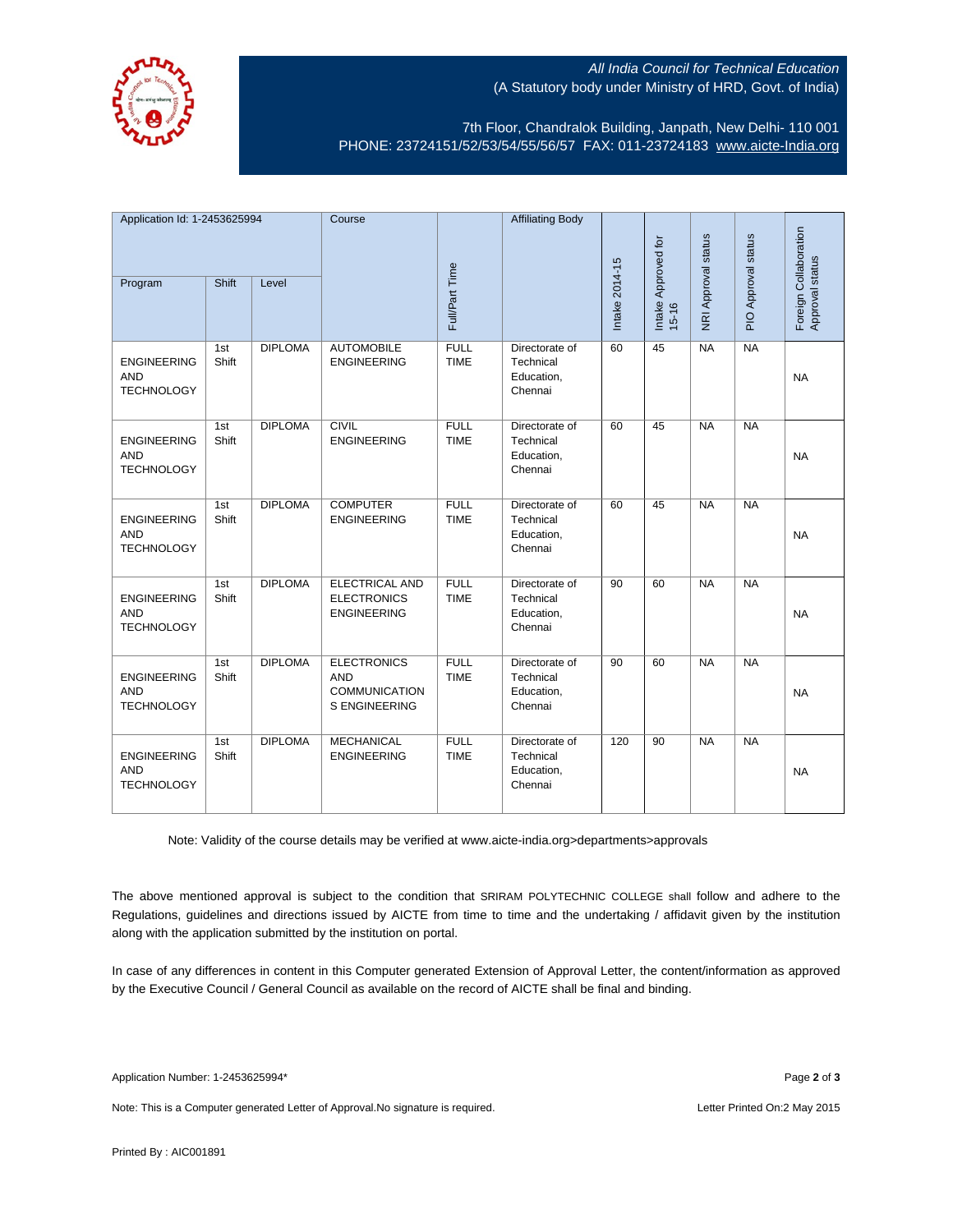

## All India Council for Technical Education (A Statutory body under Ministry of HRD, Govt. of India)

7th Floor, Chandralok Building, Janpath, New Delhi- 110 001 PHONE: 23724151/52/53/54/55/56/57 FAX: 011-23724183 [www.aicte-India.org](http://www.aicte-india.org/)

| Application Id: 1-2453625994                          |              | Course         |                                                                                  | <b>Affiliating Body</b>    |                                                      |                |                                  |                     |                     |                                          |
|-------------------------------------------------------|--------------|----------------|----------------------------------------------------------------------------------|----------------------------|------------------------------------------------------|----------------|----------------------------------|---------------------|---------------------|------------------------------------------|
| Program                                               | Shift        | Level          |                                                                                  | Full/Part Time             |                                                      | Intake 2014-15 | Intake Approved for<br>$15 - 16$ | NRI Approval status | PIO Approval status | Foreign Collaboration<br>Approval status |
| <b>ENGINEERING</b><br><b>AND</b><br><b>TECHNOLOGY</b> | 1st<br>Shift | <b>DIPLOMA</b> | <b>AUTOMOBILE</b><br><b>ENGINEERING</b>                                          | <b>FULL</b><br><b>TIME</b> | Directorate of<br>Technical<br>Education,<br>Chennai | 60             | 45                               | NA                  | NA                  | <b>NA</b>                                |
| <b>ENGINEERING</b><br><b>AND</b><br><b>TECHNOLOGY</b> | 1st<br>Shift | <b>DIPLOMA</b> | <b>CIVIL</b><br><b>ENGINEERING</b>                                               | <b>FULL</b><br><b>TIME</b> | Directorate of<br>Technical<br>Education,<br>Chennai | 60             | 45                               | <b>NA</b>           | NA                  | <b>NA</b>                                |
| <b>ENGINEERING</b><br><b>AND</b><br><b>TECHNOLOGY</b> | 1st<br>Shift | <b>DIPLOMA</b> | <b>COMPUTER</b><br><b>ENGINEERING</b>                                            | <b>FULL</b><br><b>TIME</b> | Directorate of<br>Technical<br>Education,<br>Chennai | 60             | 45                               | NA                  | NA                  | <b>NA</b>                                |
| <b>ENGINEERING</b><br><b>AND</b><br><b>TECHNOLOGY</b> | 1st<br>Shift | <b>DIPLOMA</b> | <b>ELECTRICAL AND</b><br><b>ELECTRONICS</b><br><b>ENGINEERING</b>                | <b>FULL</b><br><b>TIME</b> | Directorate of<br>Technical<br>Education,<br>Chennai | 90             | 60                               | <b>NA</b>           | NA                  | <b>NA</b>                                |
| <b>ENGINEERING</b><br><b>AND</b><br><b>TECHNOLOGY</b> | 1st<br>Shift | <b>DIPLOMA</b> | <b>ELECTRONICS</b><br><b>AND</b><br><b>COMMUNICATION</b><br><b>S ENGINEERING</b> | <b>FULL</b><br><b>TIME</b> | Directorate of<br>Technical<br>Education,<br>Chennai | 90             | 60                               | NA                  | NA                  | <b>NA</b>                                |
| <b>ENGINEERING</b><br><b>AND</b><br><b>TECHNOLOGY</b> | 1st<br>Shift | <b>DIPLOMA</b> | <b>MECHANICAL</b><br><b>ENGINEERING</b>                                          | <b>FULL</b><br><b>TIME</b> | Directorate of<br>Technical<br>Education,<br>Chennai | 120            | 90                               | NA                  | NA                  | <b>NA</b>                                |

Note: Validity of the course details may be verified at www.aicte-india.org>departments>approvals

The above mentioned approval is subject to the condition that SRIRAM POLYTECHNIC COLLEGE shall follow and adhere to the Regulations, guidelines and directions issued by AICTE from time to time and the undertaking / affidavit given by the institution along with the application submitted by the institution on portal.

In case of any differences in content in this Computer generated Extension of Approval Letter, the content/information as approved by the Executive Council / General Council as available on the record of AICTE shall be final and binding.

Note: This is a Computer generated Letter of Approval. No signature is required. <br>
Note: This is a Computer generated Letter of Approval. No signature is required.